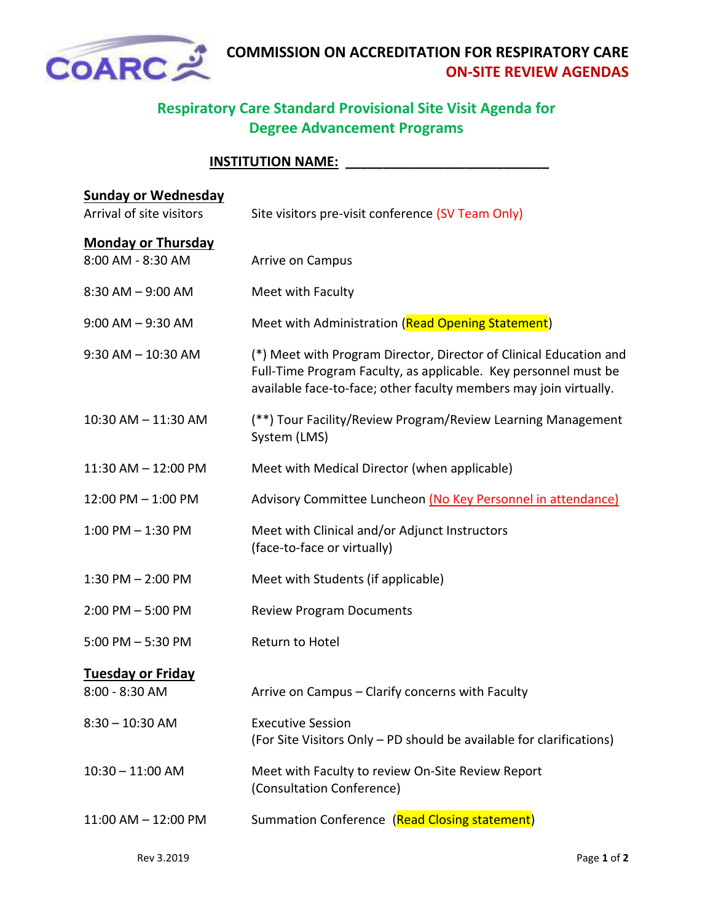

## **Respiratory Care Standard Provisional Site Visit Agenda for Degree Advancement Programs**

## **INSTITUTION NAME: \_\_\_\_\_\_\_\_\_\_\_\_\_\_\_\_\_\_\_\_\_\_\_\_\_\_\_**

| <b>Sunday or Wednesday</b><br>Arrival of site visitors | Site visitors pre-visit conference (SV Team Only)                                                                                                                                                          |
|--------------------------------------------------------|------------------------------------------------------------------------------------------------------------------------------------------------------------------------------------------------------------|
| <b>Monday or Thursday</b><br>8:00 AM - 8:30 AM         | Arrive on Campus                                                                                                                                                                                           |
| $8:30$ AM $-9:00$ AM                                   | Meet with Faculty                                                                                                                                                                                          |
| $9:00$ AM $-9:30$ AM                                   | Meet with Administration (Read Opening Statement)                                                                                                                                                          |
| $9:30$ AM $- 10:30$ AM                                 | (*) Meet with Program Director, Director of Clinical Education and<br>Full-Time Program Faculty, as applicable. Key personnel must be<br>available face-to-face; other faculty members may join virtually. |
| 10:30 AM - 11:30 AM                                    | (**) Tour Facility/Review Program/Review Learning Management<br>System (LMS)                                                                                                                               |
| 11:30 AM - 12:00 PM                                    | Meet with Medical Director (when applicable)                                                                                                                                                               |
| 12:00 PM - 1:00 PM                                     | Advisory Committee Luncheon (No Key Personnel in attendance)                                                                                                                                               |
| $1:00$ PM $-1:30$ PM                                   | Meet with Clinical and/or Adjunct Instructors<br>(face-to-face or virtually)                                                                                                                               |
| $1:30$ PM $- 2:00$ PM                                  | Meet with Students (if applicable)                                                                                                                                                                         |
| $2:00$ PM $-5:00$ PM                                   | <b>Review Program Documents</b>                                                                                                                                                                            |
| $5:00$ PM $-5:30$ PM                                   | Return to Hotel                                                                                                                                                                                            |
| <b>Tuesday or Friday</b><br>8:00 - 8:30 AM             | Arrive on Campus - Clarify concerns with Faculty                                                                                                                                                           |
| $8:30 - 10:30$ AM                                      | <b>Executive Session</b><br>(For Site Visitors Only – PD should be available for clarifications)                                                                                                           |
| $10:30 - 11:00$ AM                                     | Meet with Faculty to review On-Site Review Report<br>(Consultation Conference)                                                                                                                             |
| $11:00$ AM $- 12:00$ PM                                | Summation Conference (Read Closing statement)                                                                                                                                                              |